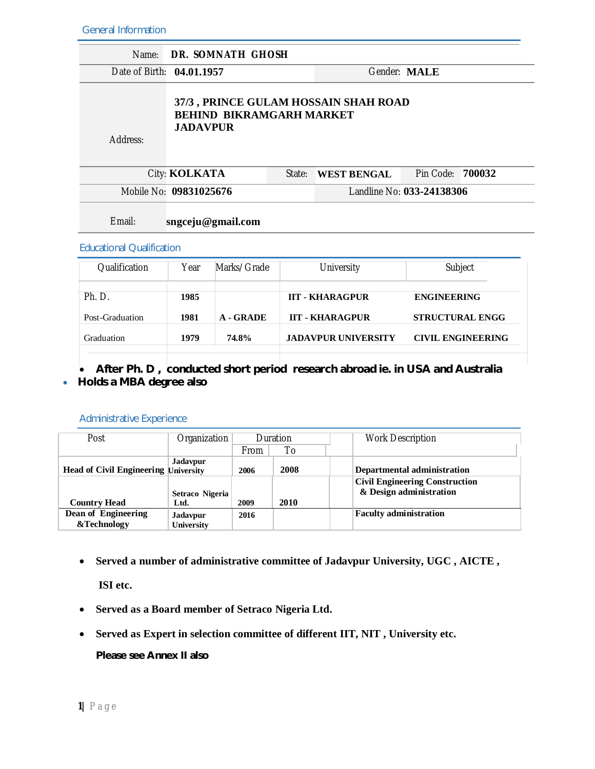General Information

| Name:                                                                                                  | DR. SOMNATH GHOSH         |             |        |                        |                           |  |  |
|--------------------------------------------------------------------------------------------------------|---------------------------|-------------|--------|------------------------|---------------------------|--|--|
|                                                                                                        | Date of Birth: 04.01.1957 |             |        |                        | Gender: MALE              |  |  |
| 37/3, PRINCE GULAM HOSSAIN SHAH ROAD<br><b>BEHIND BIKRAMGARH MARKET</b><br><b>JADAVPUR</b><br>Address: |                           |             |        |                        |                           |  |  |
|                                                                                                        | City: KOLKATA             |             | State: | <b>WEST BENGAL</b>     | Pin Code:<br>700032       |  |  |
|                                                                                                        | Mobile No: 09831025676    |             |        |                        | Landline No: 033-24138306 |  |  |
| Email:<br>sngceju@gmail.com<br><b>Educational Qualification</b>                                        |                           |             |        |                        |                           |  |  |
| Qualification                                                                                          | Year                      | Marks/Grade |        | University             | Subject                   |  |  |
| Ph. D.                                                                                                 | 1985                      |             |        | <b>IIT - KHARAGPUR</b> | <b>ENGINEERING</b>        |  |  |

| Post-Graduation | 1981 | A - GRADE | <b>IIT - KHARAGPUR</b> | <b>STRUCTURAL ENGG</b>   |
|-----------------|------|-----------|------------------------|--------------------------|
| Graduation      | 1979 | 74.8%     | JADAVPUR UNIVERSITY    | <b>CIVIL ENGINEERING</b> |

 **After Ph. D , conducted short period research abroad ie. in USA and Australia Holds a MBA degree also**

#### Administrative Experience

| Post                                        | Organization                         | Duration    |      | <b>Work Description</b>                                          |
|---------------------------------------------|--------------------------------------|-------------|------|------------------------------------------------------------------|
|                                             |                                      | <b>From</b> | To   |                                                                  |
| <b>Head of Civil Engineering University</b> | <b>Jadavpur</b>                      | 2006        | 2008 | Departmental administration                                      |
|                                             | Setraco Nigeria                      |             |      | <b>Civil Engineering Construction</b><br>& Design administration |
| <b>Country Head</b>                         | Ltd.                                 | 2009        | 2010 |                                                                  |
| Dean of Engineering<br>&Technology          | <b>Jadavpur</b><br><b>University</b> | 2016        |      | <b>Faculty administration</b>                                    |

**Served a number of administrative committee of Jadavpur University, UGC , AICTE ,**

**ISI etc.**

- **Served as a Board member of Setraco Nigeria Ltd.**
- **Served as Expert in selection committee of different IIT, NIT , University etc.**

**Please see Annex II also**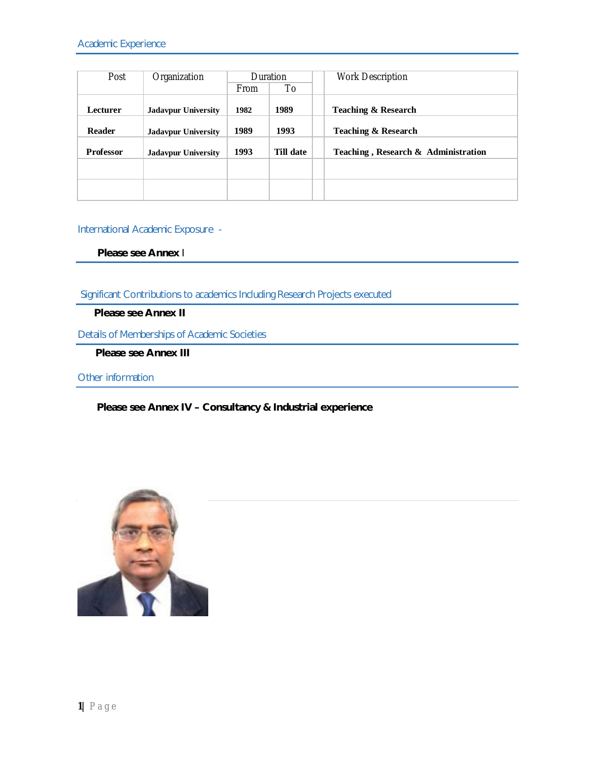| Post             | Organization               | Duration    |           | <b>Work Description</b>             |
|------------------|----------------------------|-------------|-----------|-------------------------------------|
|                  |                            | <b>From</b> | To        |                                     |
| Lecturer         | <b>Jadavpur University</b> | 1982        | 1989      | <b>Teaching &amp; Research</b>      |
| <b>Reader</b>    | <b>Jadavpur University</b> | 1989        | 1993      | <b>Teaching &amp; Research</b>      |
| <b>Professor</b> | <b>Jadavpur University</b> | 1993        | Till date | Teaching, Research & Administration |
|                  |                            |             |           |                                     |
|                  |                            |             |           |                                     |

#### International Academic Exposure -

**Please see Annex** I

Significant Contributions to academics Including Research Projects executed

**Please see Annex II**

Details of Memberships of Academic Societies

**Please see Annex III**

Other information

#### **Please see Annex IV – Consultancy & Industrial experience**

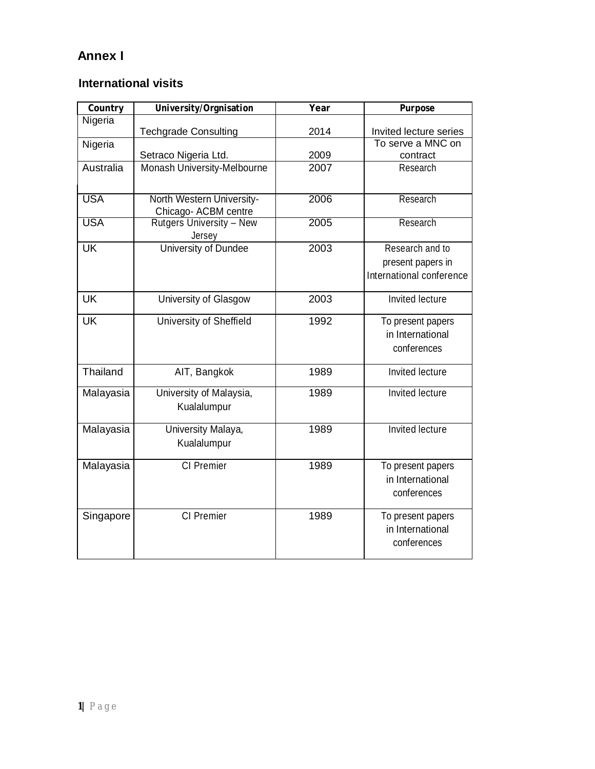## **Annex I**

## **International visits**

| Country    | University/Orgnisation      | Year | <b>Purpose</b>           |
|------------|-----------------------------|------|--------------------------|
| Nigeria    |                             |      |                          |
|            | Techgrade Consulting        | 2014 | Invited lecture series   |
| Nigeria    |                             |      | To serve a MNC on        |
|            | Setraco Nigeria Ltd.        | 2009 | contract                 |
| Australia  | Monash University-Melbourne | 2007 | Research                 |
|            |                             |      |                          |
| <b>USA</b> | North Western University-   | 2006 | Research                 |
|            | Chicago- ACBM centre        |      |                          |
| <b>USA</b> | Rutgers University - New    | 2005 | Research                 |
|            | Jersey                      |      |                          |
| <b>UK</b>  | University of Dundee        | 2003 | Research and to          |
|            |                             |      | present papers in        |
|            |                             |      | International conference |
|            |                             |      |                          |
| <b>UK</b>  | University of Glasgow       | 2003 | Invited lecture          |
| <b>UK</b>  | University of Sheffield     | 1992 | To present papers        |
|            |                             |      | in International         |
|            |                             |      | conferences              |
|            |                             |      |                          |
| Thailand   | AIT, Bangkok                | 1989 | Invited lecture          |
|            | University of Malaysia,     | 1989 | Invited lecture          |
| Malayasia  |                             |      |                          |
|            | Kualalumpur                 |      |                          |
| Malayasia  | University Malaya,          | 1989 | Invited lecture          |
|            | Kualalumpur                 |      |                          |
|            |                             |      |                          |
| Malayasia  | CI Premier                  | 1989 | To present papers        |
|            |                             |      | in International         |
|            |                             |      | conferences              |
|            |                             |      |                          |
| Singapore  | CI Premier                  | 1989 | To present papers        |
|            |                             |      | in International         |
|            |                             |      | conferences              |
|            |                             |      |                          |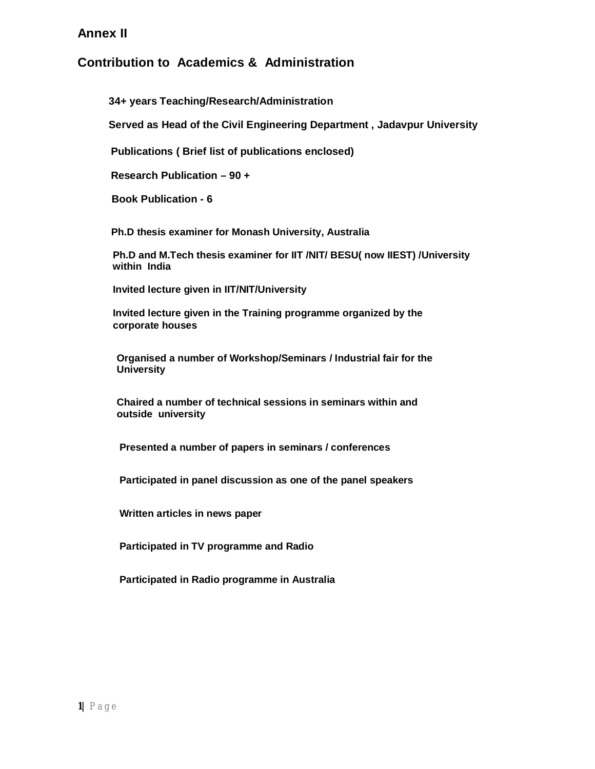### **Annex II**

## **Contribution to Academics & Administration**

**34+ years Teaching/Research/Administration**

**Served as Head of the Civil Engineering Department , Jadavpur University** 

 **Publications ( Brief list of publications enclosed)** 

 **Research Publication – 90 +**

**Book Publication - 6**

 **Ph.D thesis examiner for Monash University, Australia** 

 **Ph.D and M.Tech thesis examiner for IIT /NIT/ BESU( now IIEST) /University within India** 

 **Invited lecture given in IIT/NIT/University** 

 **Invited lecture given in the Training programme organized by the corporate houses** 

 **Organised a number of Workshop/Seminars / Industrial fair for the University** 

 **Chaired a number of technical sessions in seminars within and outside university** 

 **Presented a number of papers in seminars / conferences** 

 **Participated in panel discussion as one of the panel speakers** 

 **Written articles in news paper** 

 **Participated in TV programme and Radio** 

 **Participated in Radio programme in Australia**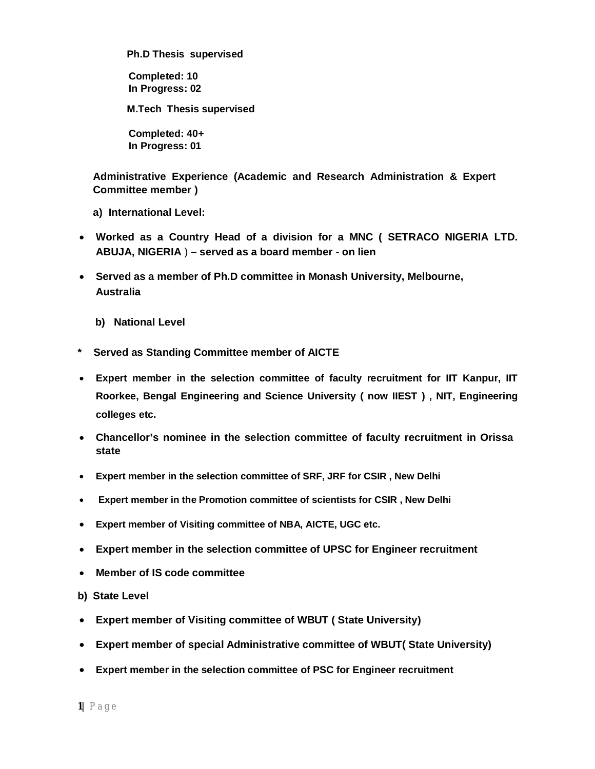**Ph.D Thesis supervised** 

**Completed: 10 In Progress: 02**

**M.Tech Thesis supervised** 

**Completed: 40+ In Progress: 01**

**Administrative Experience (Academic and Research Administration & Expert Committee member )** 

**a) International Level:** 

- **Worked as a Country Head of a division for a MNC ( SETRACO NIGERIA LTD. ABUJA, NIGERIA** ) **– served as a board member - on lien**
- **Served as a member of Ph.D committee in Monash University, Melbourne, Australia**
	- **b) National Level**
- **\* Served as Standing Committee member of AICTE**
- **Expert member in the selection committee of faculty recruitment for IIT Kanpur, IIT Roorkee, Bengal Engineering and Science University ( now IIEST ) , NIT, Engineering colleges etc.**
- **Chancellor's nominee in the selection committee of faculty recruitment in Orissa state**
- **Expert member in the selection committee of SRF, JRF for CSIR , New Delhi**
- **Expert member in the Promotion committee of scientists for CSIR , New Delhi**
- **Expert member of Visiting committee of NBA, AICTE, UGC etc.**
- **Expert member in the selection committee of UPSC for Engineer recruitment**
- **Member of IS code committee**
- **b) State Level**
- **Expert member of Visiting committee of WBUT ( State University)**
- **Expert member of special Administrative committee of WBUT( State University)**
- **Expert member in the selection committee of PSC for Engineer recruitment**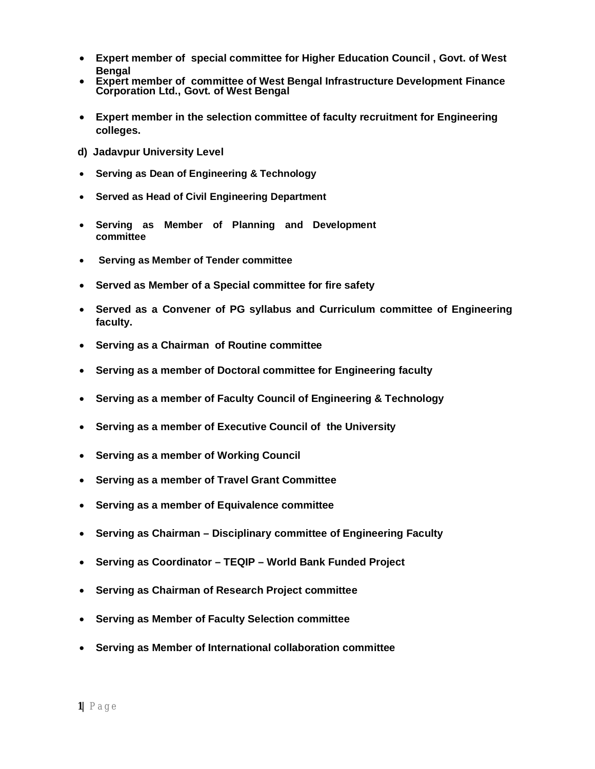- **Expert member of special committee for Higher Education Council , Govt. of West Bengal**
- **Expert member of committee of West Bengal Infrastructure Development Finance Corporation Ltd., Govt. of West Bengal**
- **Expert member in the selection committee of faculty recruitment for Engineering colleges.**
- **d) Jadavpur University Level**
- **Serving as Dean of Engineering & Technology**
- **Served as Head of Civil Engineering Department**
- **Serving as Member of Planning and Development committee**
- **Serving as Member of Tender committee**
- **Served as Member of a Special committee for fire safety**
- **Served as a Convener of PG syllabus and Curriculum committee of Engineering faculty.**
- **Serving as a Chairman of Routine committee**
- **Serving as a member of Doctoral committee for Engineering faculty**
- **Serving as a member of Faculty Council of Engineering & Technology**
- **Serving as a member of Executive Council of the University**
- **Serving as a member of Working Council**
- **Serving as a member of Travel Grant Committee**
- **Serving as a member of Equivalence committee**
- **Serving as Chairman – Disciplinary committee of Engineering Faculty**
- **Serving as Coordinator – TEQIP – World Bank Funded Project**
- **Serving as Chairman of Research Project committee**
- **Serving as Member of Faculty Selection committee**
- **Serving as Member of International collaboration committee**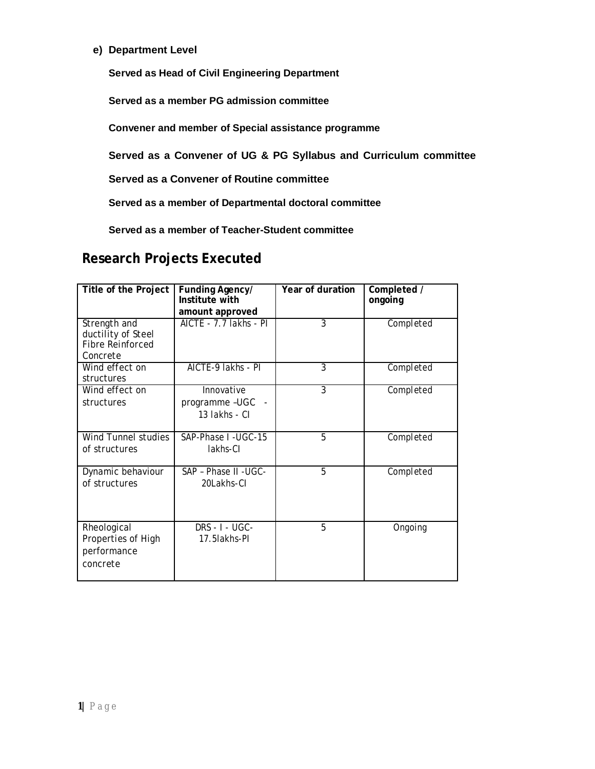**e) Department Level**

**Served as Head of Civil Engineering Department**

**Served as a member PG admission committee** 

**Convener and member of Special assistance programme** 

**Served as a Convener of UG & PG Syllabus and Curriculum committee** 

**Served as a Convener of Routine committee** 

**Served as a member of Departmental doctoral committee** 

**Served as a member of Teacher-Student committee** 

# **Research Projects Executed**

| <b>Title of the Project</b>                                               | Funding Agency/<br>Institute with<br>amount approved | Year of duration | Completed /<br>ongoing |
|---------------------------------------------------------------------------|------------------------------------------------------|------------------|------------------------|
| Strength and<br>ductility of Steel<br><b>Fibre Reinforced</b><br>Concrete | AICTE - 7.7 lakhs - PI                               | 3                | Completed              |
| Wind effect on<br>structures                                              | AICTE-9 lakhs - PI                                   | 3                | Completed              |
| Wind effect on<br>structures                                              | Innovative<br>programme-UGC<br>13 lakhs - Cl         | 3                | Completed              |
| Wind Tunnel studies<br>of structures                                      | SAP-Phase I-UGC-15<br>lakhs-Cl                       | 5                | Completed              |
| Dynamic behaviour<br>of structures                                        | SAP - Phase II - UGC-<br>20Lakhs-Cl                  | 5                | Completed              |
| Rheological<br>Properties of High<br>performance<br>concrete              | <b>DRS - I - UGC-</b><br>17.5 lakhs-Pl               | 5                | Ongoing                |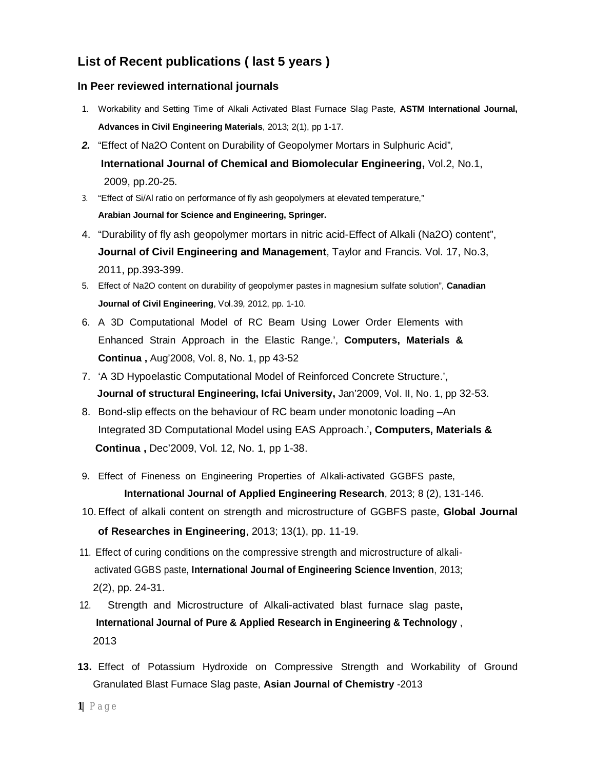## **List of Recent publications ( last 5 years )**

#### **In Peer reviewed international journals**

- 1. Workability and Setting Time of Alkali Activated Blast Furnace Slag Paste, **ASTM International Journal, Advances in Civil Engineering Materials**, 2013; 2(1), pp 1-17.
- *2.* "Effect of Na2O Content on Durability of Geopolymer Mortars in Sulphuric Acid"*,*  **International Journal of Chemical and Biomolecular Engineering,** Vol.2, No.1,2009, pp.20-25.
- 3. "Effect of Si/Al ratio on performance of fly ash geopolymers at elevated temperature," **Arabian Journal for Science and Engineering, Springer.**
- 4. "Durability of fly ash geopolymer mortars in nitric acid-Effect of Alkali (Na2O) content", **Journal of Civil Engineering and Management**, Taylor and Francis. Vol. 17, No.3, 2011, pp.393-399.
- 5. Effect of Na2O content on durability of geopolymer pastes in magnesium sulfate solution", **Canadian Journal of Civil Engineering**, Vol.39, 2012, pp. 1-10.
- 6. A 3D Computational Model of RC Beam Using Lower Order Elements with Enhanced Strain Approach in the Elastic Range.', **Computers, Materials & Continua ,** Aug'2008, Vol. 8, No. 1, pp 43-52
- 7. 'A 3D Hypoelastic Computational Model of Reinforced Concrete Structure.',  **Journal of structural Engineering, Icfai University,** Jan'2009, Vol. II, No. 1, pp 32-53.
- 8. Bond-slip effects on the behaviour of RC beam under monotonic loading –An Integrated 3D Computational Model using EAS Approach.'**, Computers, Materials & Continua ,** Dec'2009, Vol. 12, No. 1, pp 1-38.
- 9. Effect of Fineness on Engineering Properties of Alkali-activated GGBFS paste, **International Journal of Applied Engineering Research**, 2013; 8 (2), 131-146.
- 10.Effect of alkali content on strength and microstructure of GGBFS paste, **Global Journal of Researches in Engineering**, 2013; 13(1), pp. 11-19.
- 11. Effect of curing conditions on the compressive strength and microstructure of alkaliactivated GGBS paste, **International Journal of Engineering Science Invention**, 2013; 2(2), pp. 24-31.
- 12. Strength and Microstructure of Alkali-activated blast furnace slag paste**, International Journal of Pure & Applied Research in Engineering & Technology** , 2013
- **13.** Effect of Potassium Hydroxide on Compressive Strength and Workability of Ground Granulated Blast Furnace Slag paste, **Asian Journal of Chemistry** -2013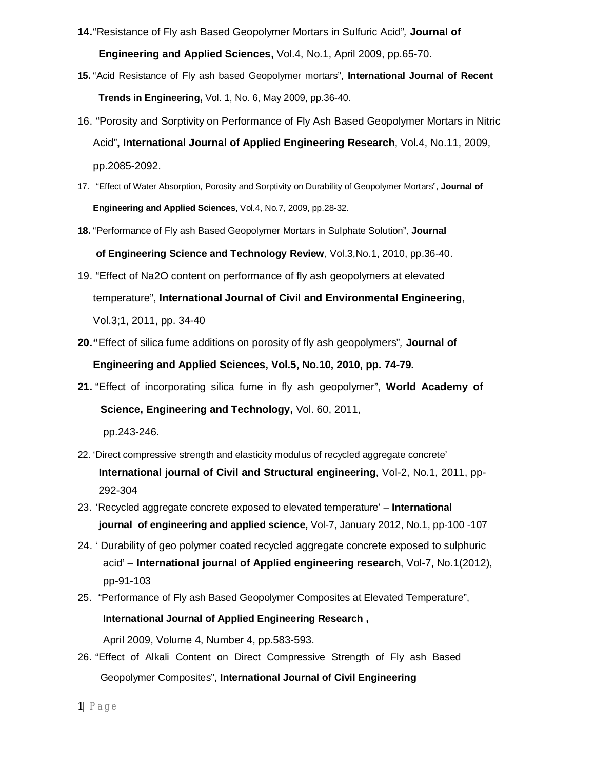- **14.**"Resistance of Fly ash Based Geopolymer Mortars in Sulfuric Acid"*,* **Journal of Engineering and Applied Sciences,** Vol.4, No.1, April 2009, pp.65-70.
- **15.** "Acid Resistance of Fly ash based Geopolymer mortars", **International Journal of Recent Trends in Engineering,** Vol. 1, No. 6, May 2009, pp.36-40.
- 16. "Porosity and Sorptivity on Performance of Fly Ash Based Geopolymer Mortars in Nitric Acid"**, International Journal of Applied Engineering Research**, Vol.4, No.11, 2009, pp.2085-2092.
- 17. "Effect of Water Absorption, Porosity and Sorptivity on Durability of Geopolymer Mortars", **Journal of Engineering and Applied Sciences**, Vol.4, No.7, 2009, pp.28-32.
- **18.** "Performance of Fly ash Based Geopolymer Mortars in Sulphate Solution"*,* **Journal**

 **of Engineering Science and Technology Review**, Vol.3,No.1, 2010, pp.36-40.

- 19. "Effect of Na2O content on performance of fly ash geopolymers at elevated temperature", **International Journal of Civil and Environmental Engineering**, Vol.3;1, 2011, pp. 34-40
- **20."**Effect of silica fume additions on porosity of fly ash geopolymers"*,* **Journal of Engineering and Applied Sciences, Vol.5, No.10, 2010, pp. 74-79.**
- **21.** "Effect of incorporating silica fume in fly ash geopolymer", **World Academy of Science, Engineering and Technology,** Vol. 60, 2011,

pp.243-246.

- 22. 'Direct compressive strength and elasticity modulus of recycled aggregate concrete' **International journal of Civil and Structural engineering**, Vol-2, No.1, 2011, pp-292-304
- 23. 'Recycled aggregate concrete exposed to elevated temperature' **International journal of engineering and applied science,** Vol-7, January 2012, No.1, pp-100 -107
- 24. ' Durability of geo polymer coated recycled aggregate concrete exposed to sulphuric acid' – **International journal of Applied engineering research**, Vol-7, No.1(2012), pp-91-103
- 25. "Performance of Fly ash Based Geopolymer Composites at Elevated Temperature",

#### **International Journal of Applied Engineering Research ,**

April 2009, Volume 4, Number 4, pp.583-593.

26. "Effect of Alkali Content on Direct Compressive Strength of Fly ash Based Geopolymer Composites", **International Journal of Civil Engineering**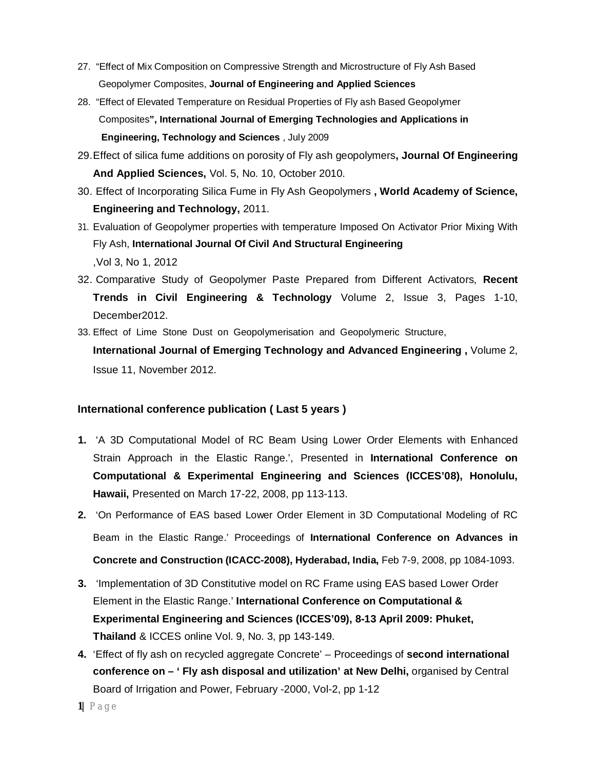- 27. "Effect of Mix Composition on Compressive Strength and Microstructure of Fly Ash Based Geopolymer Composites, **Journal of Engineering and Applied Sciences**
- 28. "Effect of Elevated Temperature on Residual Properties of Fly ash Based Geopolymer Composites**", International Journal of Emerging Technologies and Applications in Engineering, Technology and Sciences** , July 2009
- 29.Effect of silica fume additions on porosity of Fly ash geopolymers**, Journal Of Engineering And Applied Sciences,** Vol. 5, No. 10, October 2010.
- 30. Effect of Incorporating Silica Fume in Fly Ash Geopolymers **, World Academy of Science, Engineering and Technology,** 2011.
- 31. Evaluation of Geopolymer properties with temperature Imposed On Activator Prior Mixing With Fly Ash, **International Journal Of Civil And Structural Engineering** ,Vol 3, No 1, 2012
- 32. Comparative Study of Geopolymer Paste Prepared from Different Activators, **Recent Trends in Civil Engineering & Technology** Volume 2, Issue 3, Pages 1-10, December2012.
- 33. Effect of Lime Stone Dust on Geopolymerisation and Geopolymeric Structure, **International Journal of Emerging Technology and Advanced Engineering ,** Volume 2, Issue 11, November 2012.

#### **International conference publication ( Last 5 years )**

- **1.** 'A 3D Computational Model of RC Beam Using Lower Order Elements with Enhanced Strain Approach in the Elastic Range.', Presented in **International Conference on Computational & Experimental Engineering and Sciences (ICCES'08), Honolulu, Hawaii,** Presented on March 17-22, 2008, pp 113-113.
- **2.** 'On Performance of EAS based Lower Order Element in 3D Computational Modeling of RC Beam in the Elastic Range.' Proceedings of **International Conference on Advances in Concrete and Construction (ICACC-2008), Hyderabad, India,** Feb 7-9, 2008, pp 1084-1093.
- **3.** 'Implementation of 3D Constitutive model on RC Frame using EAS based Lower Order Element in the Elastic Range.' **International Conference on Computational & Experimental Engineering and Sciences (ICCES'09), 8-13 April 2009: Phuket, Thailand** & ICCES online Vol. 9, No. 3, pp 143-149.
- **4.** 'Effect of fly ash on recycled aggregate Concrete' Proceedings of **second international conference on – ' Fly ash disposal and utilization' at New Delhi,** organised by Central Board of Irrigation and Power, February -2000, Vol-2, pp 1-12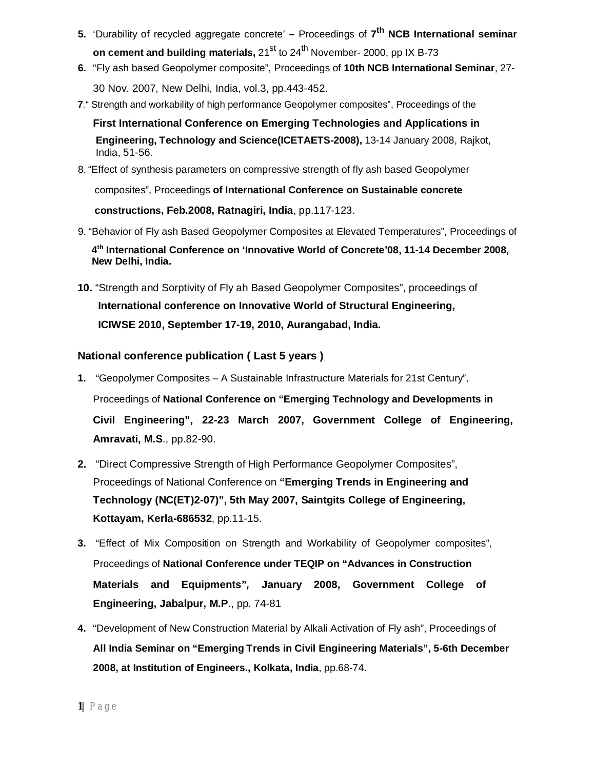- **5.** 'Durability of recycled aggregate concrete' **–** Proceedings of **7 th NCB International seminar on cement and building materials, 21<sup>st</sup> to 24<sup>th</sup> November- 2000, pp IX B-73**
- **6.** "Fly ash based Geopolymer composite", Proceedings of **10th NCB International Seminar**, 27- 30 Nov. 2007, New Delhi, India, vol.3, pp.443-452.
- **7**." Strength and workability of high performance Geopolymer composites", Proceedings of the

**First International Conference on Emerging Technologies and Applications in Engineering, Technology and Science(ICETAETS-2008),** 13-14 January 2008, Rajkot, India, 51-56.

8. "Effect of synthesis parameters on compressive strength of fly ash based Geopolymer

composites", Proceedings **of International Conference on Sustainable concrete** 

 **constructions, Feb.2008, Ratnagiri, India**, pp.117-123.

9. "Behavior of Fly ash Based Geopolymer Composites at Elevated Temperatures", Proceedings of

 **4 th International Conference on 'Innovative World of Concrete'08, 11-14 December 2008, New Delhi, India.**

**10.** "Strength and Sorptivity of Fly ah Based Geopolymer Composites", proceedings of  **International conference on Innovative World of Structural Engineering, ICIWSE 2010, September 17-19, 2010, Aurangabad, India.**

#### **National conference publication ( Last 5 years )**

- **1.** "Geopolymer Composites A Sustainable Infrastructure Materials for 21st Century", Proceedings of **National Conference on "Emerging Technology and Developments in Civil Engineering", 22-23 March 2007, Government College of Engineering, Amravati, M.S**., pp.82-90.
- **2.** "Direct Compressive Strength of High Performance Geopolymer Composites", Proceedings of National Conference on **"Emerging Trends in Engineering and Technology (NC(ET)2-07)", 5th May 2007, Saintgits College of Engineering, Kottayam, Kerla-686532**, pp.11-15.
- **3.** "Effect of Mix Composition on Strength and Workability of Geopolymer composites", Proceedings of **National Conference under TEQIP on "Advances in Construction Materials and Equipments"***,* **January 2008, Government College of Engineering, Jabalpur, M.P**., pp. 74-81
- **4.** "Development of New Construction Material by Alkali Activation of Fly ash", Proceedings of **All India Seminar on "Emerging Trends in Civil Engineering Materials", 5-6th December 2008, at Institution of Engineers., Kolkata, India**, pp.68-74.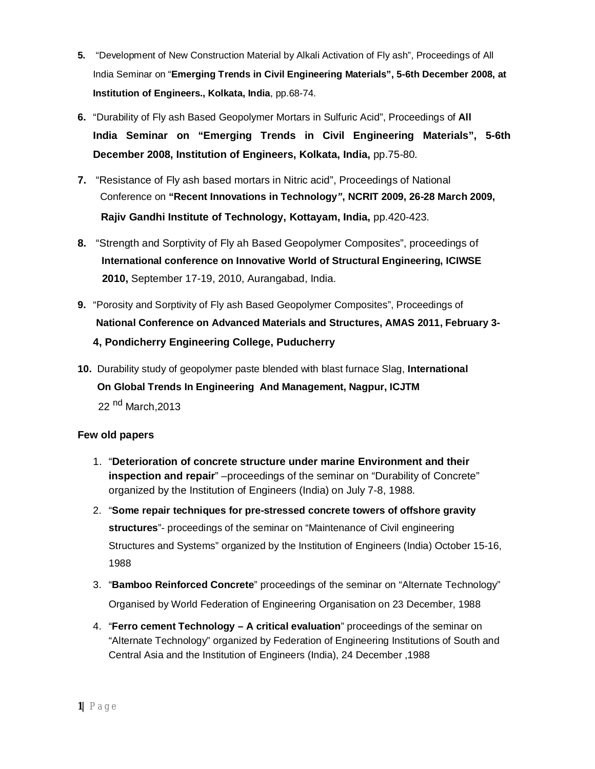- **5.** "Development of New Construction Material by Alkali Activation of Fly ash", Proceedings of All India Seminar on "**Emerging Trends in Civil Engineering Materials", 5-6th December 2008, at Institution of Engineers., Kolkata, India**, pp.68-74.
- **6.** "Durability of Fly ash Based Geopolymer Mortars in Sulfuric Acid", Proceedings of **All India Seminar on "Emerging Trends in Civil Engineering Materials", 5-6th December 2008, Institution of Engineers, Kolkata, India,** pp.75-80.
- **7.** "Resistance of Fly ash based mortars in Nitric acid", Proceedings of National Conference on **"Recent Innovations in Technology***"***, NCRIT 2009, 26-28 March 2009, Rajiv Gandhi Institute of Technology, Kottayam, India,** pp.420-423.
- **8.** "Strength and Sorptivity of Fly ah Based Geopolymer Composites", proceedings of  **International conference on Innovative World of Structural Engineering, ICIWSE 2010,** September 17-19, 2010, Aurangabad, India.
- **9.** "Porosity and Sorptivity of Fly ash Based Geopolymer Composites", Proceedings of **National Conference on Advanced Materials and Structures, AMAS 2011, February 3- 4, Pondicherry Engineering College, Puducherry**
- **10.** Durability study of geopolymer paste blended with blast furnace Slag, **International On Global Trends In Engineering And Management, Nagpur, ICJTM** 22 <sup>nd</sup> March, 2013

#### **Few old papers**

- 1. "**Deterioration of concrete structure under marine Environment and their inspection and repair**" –proceedings of the seminar on "Durability of Concrete" organized by the Institution of Engineers (India) on July 7-8, 1988.
- 2. "**Some repair techniques for pre-stressed concrete towers of offshore gravity structures**"- proceedings of the seminar on "Maintenance of Civil engineering Structures and Systems" organized by the Institution of Engineers (India) October 15-16, 1988
- 3. "**Bamboo Reinforced Concrete**" proceedings of the seminar on "Alternate Technology" Organised by World Federation of Engineering Organisation on 23 December, 1988
- 4. "**Ferro cement Technology – A critical evaluation**" proceedings of the seminar on "Alternate Technology" organized by Federation of Engineering Institutions of South and Central Asia and the Institution of Engineers (India), 24 December ,1988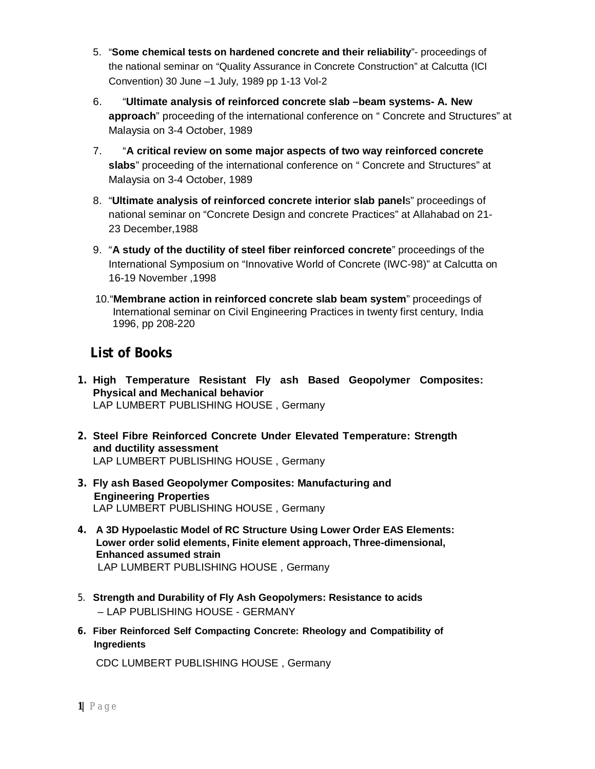- 5. "**Some chemical tests on hardened concrete and their reliability**"- proceedings of the national seminar on "Quality Assurance in Concrete Construction" at Calcutta (ICI Convention) 30 June –1 July, 1989 pp 1-13 Vol-2
- 6. "**Ultimate analysis of reinforced concrete slab –beam systems- A. New approach**" proceeding of the international conference on " Concrete and Structures" at Malaysia on 3-4 October, 1989
- 7. "**A critical review on some major aspects of two way reinforced concrete slabs**" proceeding of the international conference on " Concrete and Structures" at Malaysia on 3-4 October, 1989
- 8. "**Ultimate analysis of reinforced concrete interior slab panel**s" proceedings of national seminar on "Concrete Design and concrete Practices" at Allahabad on 21- 23 December,1988
- 9. "**A study of the ductility of steel fiber reinforced concrete**" proceedings of the International Symposium on "Innovative World of Concrete (IWC-98)" at Calcutta on 16-19 November ,1998
- 10."**Membrane action in reinforced concrete slab beam system**" proceedings of International seminar on Civil Engineering Practices in twenty first century, India 1996, pp 208-220

## **List of Books**

- **1. High Temperature Resistant Fly ash Based Geopolymer Composites: Physical and Mechanical behavior**  LAP LUMBERT PUBLISHING HOUSE , Germany
- **2. Steel Fibre Reinforced Concrete Under Elevated Temperature: Strength and ductility assessment** LAP LUMBERT PUBLISHING HOUSE , Germany
- **3. Fly ash Based Geopolymer Composites: Manufacturing and Engineering Properties** LAP LUMBERT PUBLISHING HOUSE , Germany
- **4. A 3D Hypoelastic Model of RC Structure Using Lower Order EAS Elements: Lower order solid elements, Finite element approach, Three-dimensional, Enhanced assumed strain**  LAP LUMBERT PUBLISHING HOUSE , Germany
- 5. **Strength and Durability of Fly Ash Geopolymers: Resistance to acids**  – LAP PUBLISHING HOUSE - GERMANY
- **6. Fiber Reinforced Self Compacting Concrete: Rheology and Compatibility of Ingredients**

CDC LUMBERT PUBLISHING HOUSE , Germany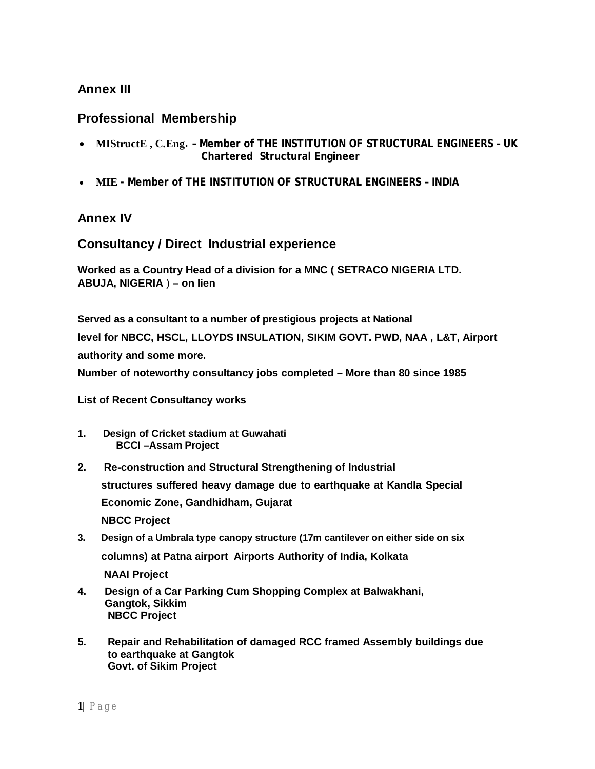## **Annex III**

### **Professional Membership**

- **MIStructE , C.Eng. – Member of THE INSTITUTION OF STRUCTURAL ENGINEERS – UK Chartered Structural Engineer**
- **MIE - Member of THE INSTITUTION OF STRUCTURAL ENGINEERS – INDIA**

### **Annex IV**

### **Consultancy / Direct Industrial experience**

**Worked as a Country Head of a division for a MNC ( SETRACO NIGERIA LTD. ABUJA, NIGERIA** ) **– on lien**

**Served as a consultant to a number of prestigious projects at National level for NBCC, HSCL, LLOYDS INSULATION, SIKIM GOVT. PWD, NAA , L&T, Airport authority and some more. Number of noteworthy consultancy jobs completed – More than 80 since 1985**

**List of Recent Consultancy works** 

- **1. Design of Cricket stadium at Guwahati BCCI –Assam Project**
- **2. Re-construction and Structural Strengthening of Industrial structures suffered heavy damage due to earthquake at Kandla Special Economic Zone, Gandhidham, Gujarat NBCC Project**
- **3. Design of a Umbrala type canopy structure (17m cantilever on either side on six columns) at Patna airport Airports Authority of India, Kolkata NAAI Project**
- **4. Design of a Car Parking Cum Shopping Complex at Balwakhani, Gangtok, Sikkim NBCC Project**
- **5. Repair and Rehabilitation of damaged RCC framed Assembly buildings due to earthquake at Gangtok Govt. of Sikim Project**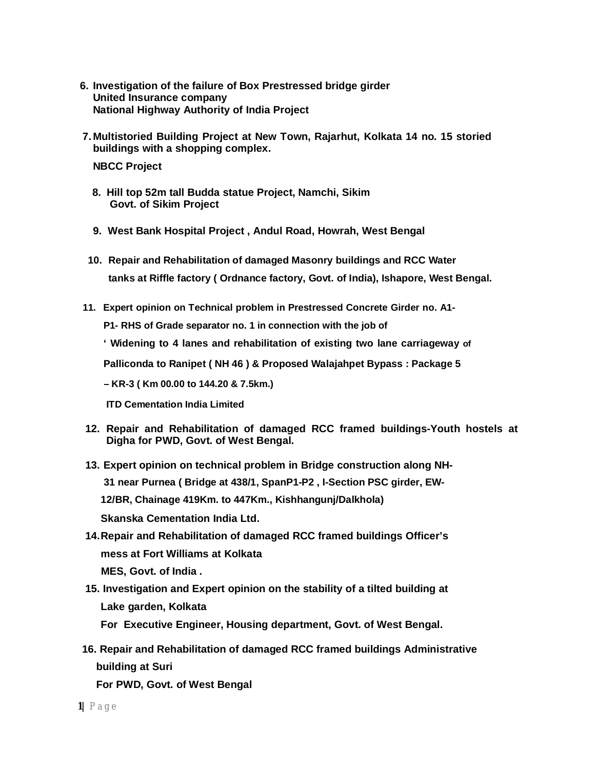- **6. Investigation of the failure of Box Prestressed bridge girder United Insurance company National Highway Authority of India Project**
- **7. Multistoried Building Project at New Town, Rajarhut, Kolkata 14 no. 15 storied buildings with a shopping complex.**

**NBCC Project** 

- **8. Hill top 52m tall Budda statue Project, Namchi, Sikim Govt. of Sikim Project**
- **9. West Bank Hospital Project , Andul Road, Howrah, West Bengal**
- **10. Repair and Rehabilitation of damaged Masonry buildings and RCC Water tanks at Riffle factory ( Ordnance factory, Govt. of India), Ishapore, West Bengal.**
- **11. Expert opinion on Technical problem in Prestressed Concrete Girder no. A1-**

**P1- RHS of Grade separator no. 1 in connection with the job of** 

**' Widening to 4 lanes and rehabilitation of existing two lane carriageway of** 

**Palliconda to Ranipet ( NH 46 ) & Proposed Walajahpet Bypass : Package 5** 

**– KR-3 ( Km 00.00 to 144.20 & 7.5km.)** 

**ITD Cementation India Limited** 

- **12. Repair and Rehabilitation of damaged RCC framed buildings-Youth hostels at Digha for PWD, Govt. of West Bengal.**
- **13. Expert opinion on technical problem in Bridge construction along NH-31 near Purnea ( Bridge at 438/1, SpanP1-P2 , I-Section PSC girder, EW-12/BR, Chainage 419Km. to 447Km., Kishhangunj/Dalkhola) Skanska Cementation India Ltd.**
- **14.Repair and Rehabilitation of damaged RCC framed buildings Officer's mess at Fort Williams at Kolkata MES, Govt. of India .**
- **15. Investigation and Expert opinion on the stability of a tilted building at Lake garden, Kolkata**
	- **For Executive Engineer, Housing department, Govt. of West Bengal.**
- **16. Repair and Rehabilitation of damaged RCC framed buildings Administrative building at Suri**

**For PWD, Govt. of West Bengal**